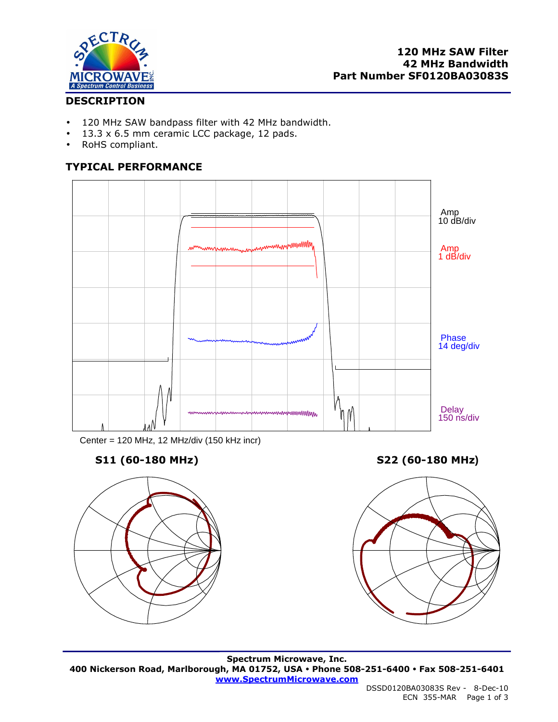

## **DESCRIPTION**

- 120 MHz SAW bandpass filter with 42 MHz bandwidth.
- 13.3 x 6.5 mm ceramic LCC package, 12 pads.
- RoHS compliant.

## **TYPICAL PERFORMANCE**



Center = 120 MHz, 12 MHz/div (150 kHz incr)

# **S11 (60-180 MHz) S22 (60-180 MHz)**





**Spectrum Microwave, Inc. 400 Nickerson Road, Marlborough, MA 01752, USA Phone 508-251-6400 Fax 508-251-6401 www.SpectrumMicrowave.com**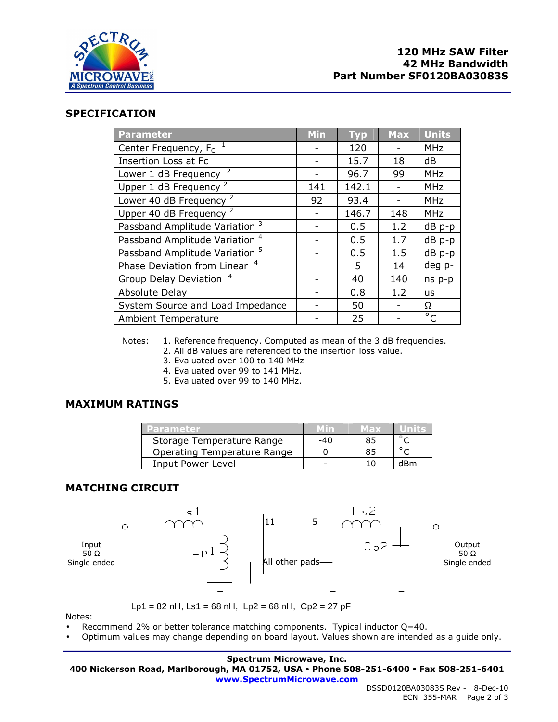

#### **SPECIFICATION**

| <b>Parameter</b>                          | <b>Min</b> | <b>Typ</b> | <b>Max</b> | <b>Units</b> |
|-------------------------------------------|------------|------------|------------|--------------|
| Center Frequency, $F_c$ <sup>1</sup>      |            | 120        |            | <b>MHz</b>   |
| <b>Insertion Loss at Fc</b>               |            | 15.7       | 18         | dB           |
| Lower 1 dB Frequency <sup>2</sup>         |            | 96.7       | 99         | <b>MHz</b>   |
| Upper 1 dB Frequency $2$                  | 141        | 142.1      |            | <b>MHz</b>   |
| Lower 40 dB Frequency <sup>2</sup>        | 92         | 93.4       |            | <b>MHz</b>   |
| Upper 40 dB Frequency <sup>2</sup>        |            | 146.7      | 148        | <b>MHz</b>   |
| Passband Amplitude Variation <sup>3</sup> |            | 0.5        | 1.2        | dB p-p       |
| Passband Amplitude Variation <sup>4</sup> |            | 0.5        | 1.7        | dB p-p       |
| Passband Amplitude Variation <sup>5</sup> |            | 0.5        | 1.5        | dB p-p       |
| Phase Deviation from Linear <sup>4</sup>  |            | 5          | 14         | deg p-       |
| Group Delay Deviation <sup>4</sup>        |            | 40         | 140        | ns p-p       |
| Absolute Delay                            |            | 0.8        | 1.2        | <b>us</b>    |
| System Source and Load Impedance          |            | 50         |            | Ω            |
| <b>Ambient Temperature</b>                |            | 25         |            | $^{\circ}$ C |

Notes: 1. Reference frequency. Computed as mean of the 3 dB frequencies.

- 2. All dB values are referenced to the insertion loss value.
- 3. Evaluated over 100 to 140 MHz
- 4. Evaluated over 99 to 141 MHz.
- 5. Evaluated over 99 to 140 MHz.

### **MAXIMUM RATINGS**

| Parameter                   |     | Max |     |
|-----------------------------|-----|-----|-----|
| Storage Temperature Range   | -40 | 85  |     |
| Operating Temperature Range |     | 85  |     |
| Input Power Level           |     |     | dRm |

### **MATCHING CIRCUIT**



Notes:

- Recommend 2% or better tolerance matching components. Typical inductor Q=40.
- Optimum values may change depending on board layout. Values shown are intended as a guide only.

#### **Spectrum Microwave, Inc.**

**400 Nickerson Road, Marlborough, MA 01752, USA Phone 508-251-6400 Fax 508-251-6401** 

**www.SpectrumMicrowave.com**